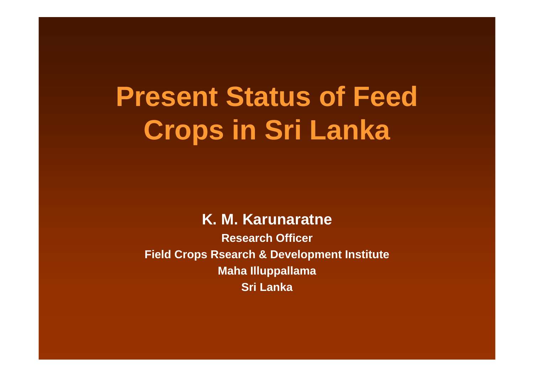# **Present Status of Feed Crops in Sri Lanka**

#### **K. M. Karunaratne**

**Research OfficerField Crops Rsearch & Development Institute Maha Illuppallama Sri Lanka**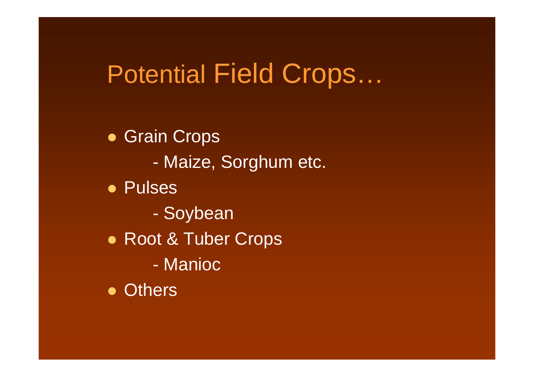# Potential Field Crops...

• Grain Crops

- Maize, Sorghum etc.

• Pulses

- Soybean
- Root & Tuber Crops
	- Manioc

• Others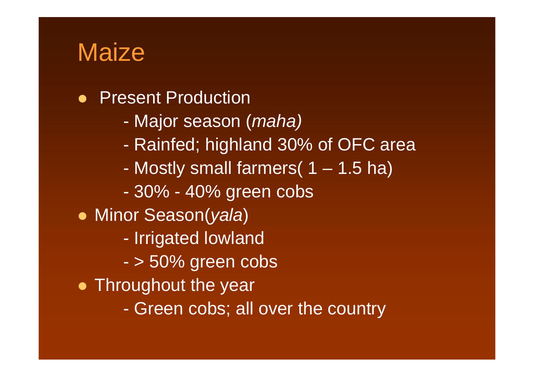#### **Maize**

- $\bullet$  Present Production
	- Major season (*maha)*
	- Rainfed; highland 30% of OFC area
	- -Mostly small farmers( 1 – 1.5 ha)
	- 30% 40% green cobs
- Minor Season(*yala*)
	- -- Irrigated lowland
	- > 50% green cobs
- Throughout the year
	- -Green cobs; all over the country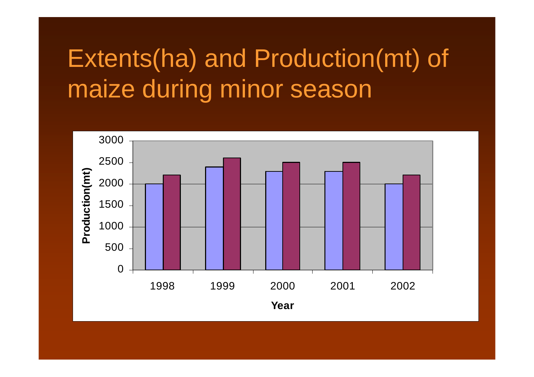# Extents(ha) and Production(mt) of maize during minor season

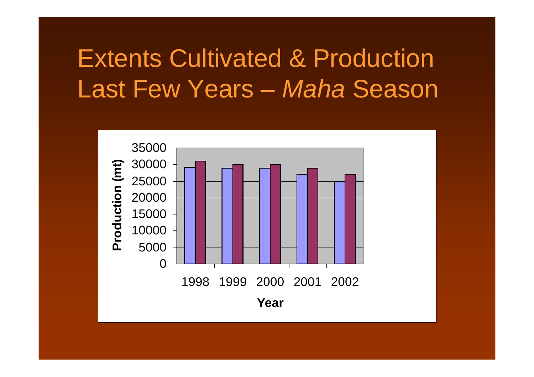### **Extents Cultivated & Production** Last Few Years - Maha Season

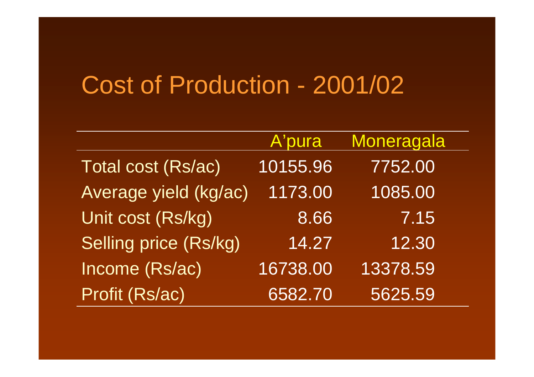#### Cost of Production - 2001/02

|                       | A'pura   | Moneragala |
|-----------------------|----------|------------|
| Total cost (Rs/ac)    | 10155.96 | 7752.00    |
| Average yield (kg/ac) | 1173.00  | 1085.00    |
| Unit cost (Rs/kg)     | 8.66     | 7.15       |
| Selling price (Rs/kg) | 14.27    | 12.30      |
| Income (Rs/ac)        | 16738.00 | 13378.59   |
| Profit (Rs/ac)        | 6582.70  | 5625.59    |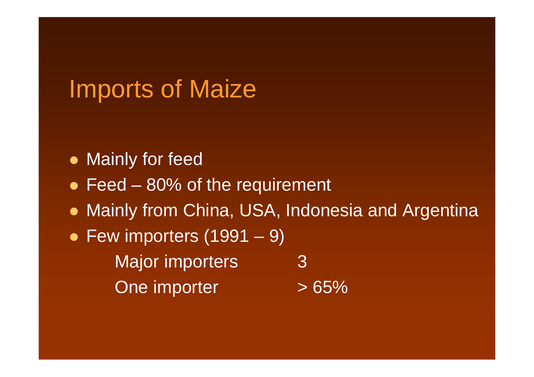### Imports of Maize

- Mainly for feed
- $\bullet$  Feed 80% of the requirement
- Mainly from China, USA, Indonesia and Argentina
- $\bullet$  Few importers (1991 9) Major importers 3One importer  $>65\%$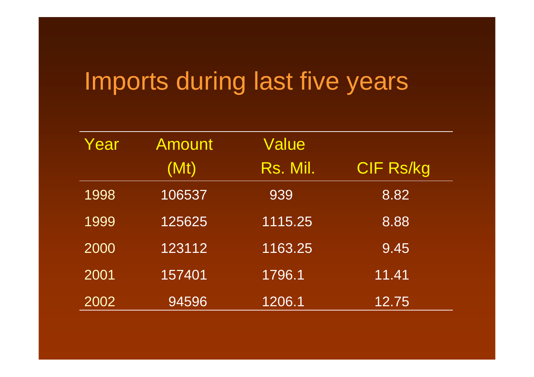# Imports during last five years

| Year | Amount | <b>Value</b> |                  |
|------|--------|--------------|------------------|
|      | (Mt)   | Rs. Mil.     | <b>CIF Rs/kg</b> |
| 1998 | 106537 | 939          | 8.82             |
| 1999 | 125625 | 1115.25      | 8.88             |
| 2000 | 123112 | 1163.25      | 9.45             |
| 2001 | 157401 | 1796.1       | 11.41            |
| 2002 | 94596  | 1206.1       | 12.75            |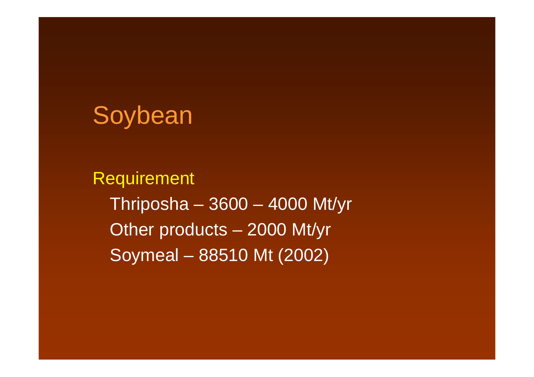

Requirement Thriposha – 3600 – 4000 Mt/yr Other products – 2000 Mt/yr Soymeal – 88510 Mt (2002)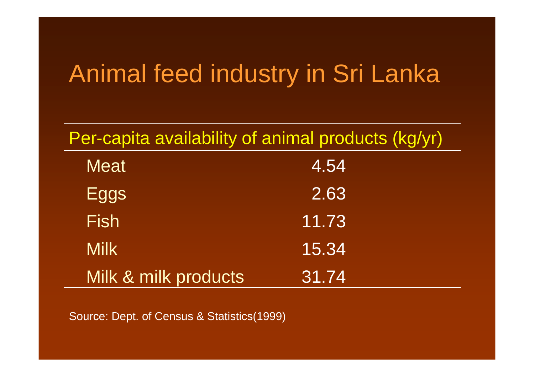# Animal feed industry in Sri Lanka

| Per-capita availability of animal products (kg/yr) |       |  |  |
|----------------------------------------------------|-------|--|--|
| <b>Meat</b>                                        | 4.54  |  |  |
| Eggs                                               | 2.63  |  |  |
| <b>Fish</b>                                        | 11.73 |  |  |
| <b>Milk</b>                                        | 15.34 |  |  |
| Milk & milk products                               | 31.74 |  |  |

Source: Dept. of Census & Statistics(1999)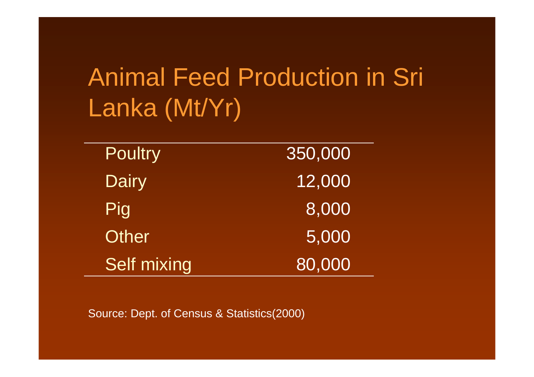# Animal Feed Production in Sri Lanka (Mt/Yr)

| <b>Poultry</b>     | 350,000 |
|--------------------|---------|
| <b>Dairy</b>       | 12,000  |
| Pig                | 8,000   |
| Other              | 5,000   |
| <b>Self mixing</b> | 80,000  |

Source: Dept. of Census & Statistics(2000)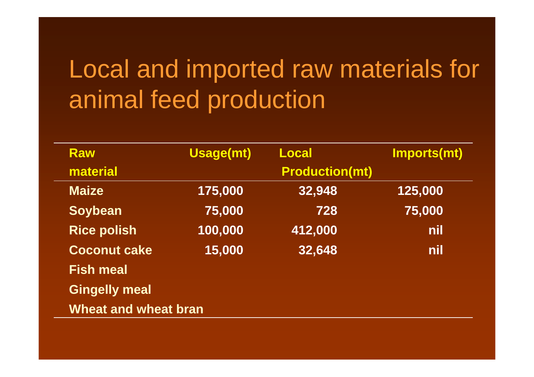# Local and imported raw materials for animal feed production

| <b>Raw</b>                  | <b>Usage(mt)</b> | <b>Local</b>          | <b>Imports(mt)</b> |  |
|-----------------------------|------------------|-----------------------|--------------------|--|
| material                    |                  | <b>Production(mt)</b> |                    |  |
| <b>Maize</b>                | 175,000          | 32,948                | 125,000            |  |
| <b>Soybean</b>              | 75,000           | 728                   | 75,000             |  |
| <b>Rice polish</b>          | 100,000          | 412,000               | nil                |  |
| <b>Coconut cake</b>         | 15,000           | 32,648                | nil                |  |
| <b>Fish meal</b>            |                  |                       |                    |  |
| <b>Gingelly meal</b>        |                  |                       |                    |  |
| <b>Wheat and wheat bran</b> |                  |                       |                    |  |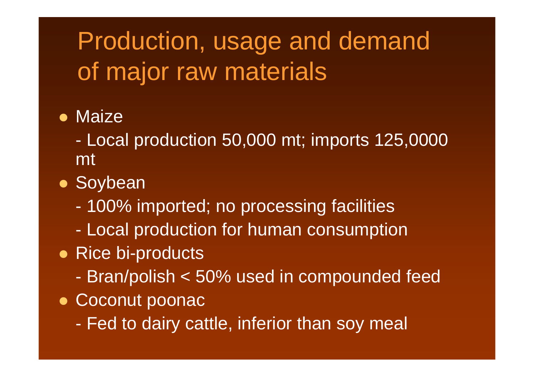# Production, usage and demand of major raw materials

- Maize
	- Local production 50,000 mt; imports 125,0000 mt
- Soybean
	- 100% imported; no processing facilities
	- Local production for human consumption
- Rice bi-products
	- Bran/polish < 50% used in compounded feed
- Coconut poonac
	- Fed to dairy cattle, inferior than soy meal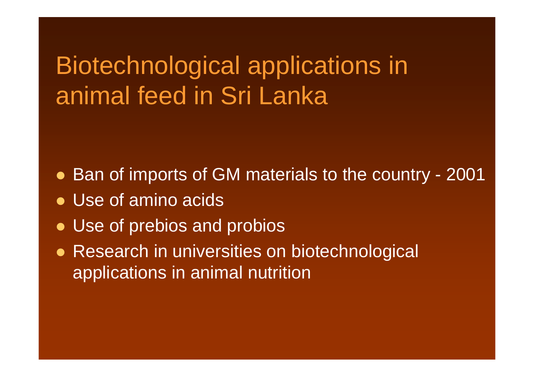### Biotechnological applications in animal feed in Sri Lanka

- Ban of imports of GM materials to the country 2001
- Use of amino acids
- Use of prebios and probios
- Research in universities on biotechnological applications in animal nutrition